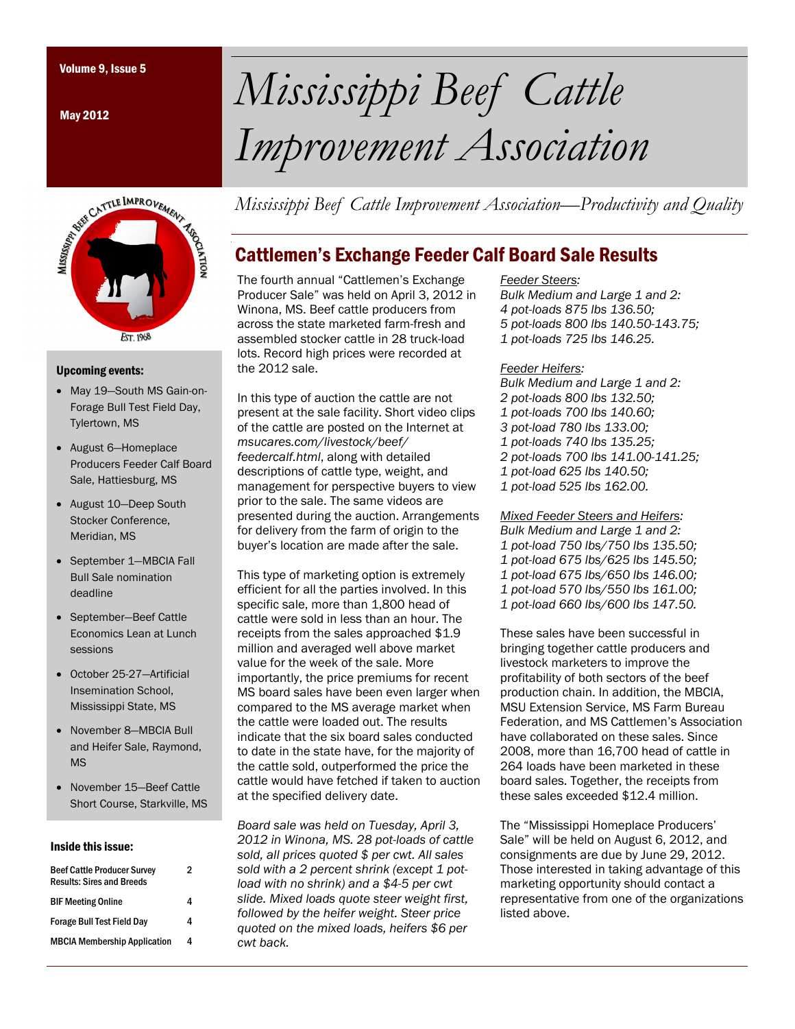May 2012



#### Upcoming events:

- May 19-South MS Gain-on-Forage Bull Test Field Day, Tylertown, MS
- August 6-Homeplace Producers Feeder Calf Board Sale, Hattiesburg, MS
- August 10-Deep South Stocker Conference, Meridian, MS
- September 1-MBCIA Fall Bull Sale nomination deadline
- September-Beef Cattle Economics Lean at Lunch sessions
- October 25-27—Artificial Insemination School, Mississippi State, MS
- November 8-MBCIA Bull and Heifer Sale, Raymond, MS
- November 15—Beef Cattle Short Course, Starkville, MS

#### Inside this issue:

| <b>Beef Cattle Producer Survey</b><br><b>Results: Sires and Breeds</b> | 2 |
|------------------------------------------------------------------------|---|
| <b>BIF Meeting Online</b>                                              | 4 |
| <b>Forage Bull Test Field Day</b>                                      | 4 |
| <b>MBCIA Membership Application</b>                                    | 4 |
|                                                                        |   |

# Volume 9, Issue 5 *Mississippi Beef Cattle Improvement Association*

*Mississippi Beef Cattle Improvement Association—Productivity and Quality* 

## Cattlemen's Exchange Feeder Calf Board Sale Results

The fourth annual "Cattlemen's Exchange Producer Sale" was held on April 3, 2012 in Winona, MS. Beef cattle producers from across the state marketed farm-fresh and assembled stocker cattle in 28 truck-load lots. Record high prices were recorded at the 2012 sale.

In this type of auction the cattle are not present at the sale facility. Short video clips of the cattle are posted on the Internet at *msucares.com/livestock/beef/ feedercalf.html*, along with detailed descriptions of cattle type, weight, and management for perspective buyers to view prior to the sale. The same videos are presented during the auction. Arrangements for delivery from the farm of origin to the buyer's location are made after the sale.

This type of marketing option is extremely efficient for all the parties involved. In this specific sale, more than 1,800 head of cattle were sold in less than an hour. The receipts from the sales approached \$1.9 million and averaged well above market value for the week of the sale. More importantly, the price premiums for recent MS board sales have been even larger when compared to the MS average market when the cattle were loaded out. The results indicate that the six board sales conducted to date in the state have, for the majority of the cattle sold, outperformed the price the cattle would have fetched if taken to auction at the specified delivery date.

*Board sale was held on Tuesday, April 3, 2012 in Winona, MS. 28 pot-loads of cattle sold, all prices quoted \$ per cwt. All sales sold with a 2 percent shrink (except 1 potload with no shrink) and a \$4-5 per cwt slide. Mixed loads quote steer weight first, followed by the heifer weight. Steer price quoted on the mixed loads, heifers \$6 per cwt back.* 

#### *Feeder Steers:*

- *Bulk Medium and Large 1 and 2:*
- *4 pot-loads 875 lbs 136.50;*
- *5 pot-loads 800 lbs 140.50-143.75;*
- *1 pot-loads 725 lbs 146.25.*

#### *Feeder Heifers:*

*Bulk Medium and Large 1 and 2: 2 pot-loads 800 lbs 132.50; 1 pot-loads 700 lbs 140.60; 3 pot-load 780 lbs 133.00; 1 pot-loads 740 lbs 135.25; 2 pot-loads 700 lbs 141.00-141.25; 1 pot-load 625 lbs 140.50; 1 pot-load 525 lbs 162.00.* 

*Mixed Feeder Steers and Heifers: Bulk Medium and Large 1 and 2: 1 pot-load 750 lbs/750 lbs 135.50; 1 pot-load 675 lbs/625 lbs 145.50; 1 pot-load 675 lbs/650 lbs 146.00; 1 pot-load 570 lbs/550 lbs 161.00; 1 pot-load 660 lbs/600 lbs 147.50.* 

These sales have been successful in bringing together cattle producers and livestock marketers to improve the profitability of both sectors of the beef production chain. In addition, the MBCIA, MSU Extension Service, MS Farm Bureau Federation, and MS Cattlemen's Association have collaborated on these sales. Since 2008, more than 16,700 head of cattle in 264 loads have been marketed in these board sales. Together, the receipts from these sales exceeded \$12.4 million.

The "Mississippi Homeplace Producers' Sale" will be held on August 6, 2012, and consignments are due by June 29, 2012. Those interested in taking advantage of this marketing opportunity should contact a representative from one of the organizations listed above.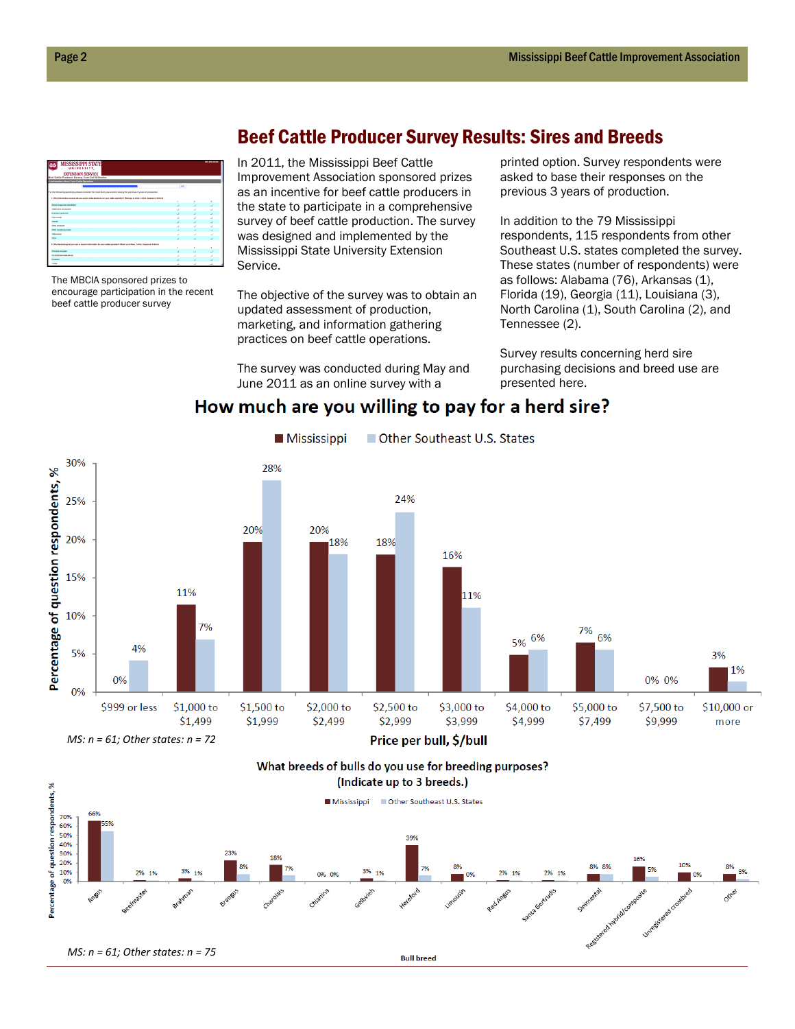| <b>MISSISSIPPI STATE</b><br>UNIVERSITY.<br><b>EXTENSION SERVICE</b><br>Beef Callie Producer Survey; Cow-Call & Steeker          |                |    | <b>CALIFORNIA</b> |
|---------------------------------------------------------------------------------------------------------------------------------|----------------|----|-------------------|
| 6. Information About Your Calife Oceration                                                                                      |                |    |                   |
|                                                                                                                                 | $\overline{1}$ |    |                   |
| For the following questions steady consider the most likely posumers during the previous 3 years of production.                 |                |    |                   |
| 1. What intermation severon do you use to make decisions on your eatle operation? (Rank up to three, furter, [casecond, ]whinds |                |    |                   |
|                                                                                                                                 |                | Þ  |                   |
| <b>Restricts associate interestings</b>                                                                                         |                |    |                   |
| Callenger Association                                                                                                           |                |    |                   |
| <b>Cultivation recognized</b>                                                                                                   |                |    |                   |
| Food etale                                                                                                                      | u              | ٠  | u                 |
| <b>Internet</b>                                                                                                                 |                |    |                   |
| Other producers                                                                                                                 |                | ×. | ر                 |
| <b>Great courses here have</b>                                                                                                  |                |    |                   |
| <b>Valentiarian</b>                                                                                                             |                |    |                   |
| Other                                                                                                                           |                |    |                   |
| 2. What behavings do you use to worke interesting for your cally constitue? Mank up to three, finited, 2xacoond, 3x00nd.        |                |    |                   |
|                                                                                                                                 |                | ï  | ×                 |
| Petitival computer                                                                                                              |                |    |                   |
| Great shows in this dealer                                                                                                      |                |    | ÷                 |
| Pagasta                                                                                                                         |                |    |                   |
| Tacher                                                                                                                          |                |    |                   |

The MBCIA sponsored prizes to encourage participation in the recent beef cattle producer survey

### Beef Cattle Producer Survey Results: Sires and Breeds

In 2011, the Mississippi Beef Cattle Improvement Association sponsored prizes as an incentive for beef cattle producers in the state to participate in a comprehensive survey of beef cattle production. The survey was designed and implemented by the Mississippi State University Extension Service.

The objective of the survey was to obtain an updated assessment of production, marketing, and information gathering practices on beef cattle operations.

The survey was conducted during May and June 2011 as an online survey with a

printed option. Survey respondents were asked to base their responses on the previous 3 years of production.

In addition to the 79 Mississippi respondents, 115 respondents from other Southeast U.S. states completed the survey. These states (number of respondents) were as follows: Alabama (76), Arkansas (1), Florida (19), Georgia (11), Louisiana (3), North Carolina (1), South Carolina (2), and Tennessee (2).

Survey results concerning herd sire purchasing decisions and breed use are presented here.

#### How much are you willing to pay for a herd sire?



What breeds of bulls do you use for breeding purposes? (Indicate up to 3 breeds.)

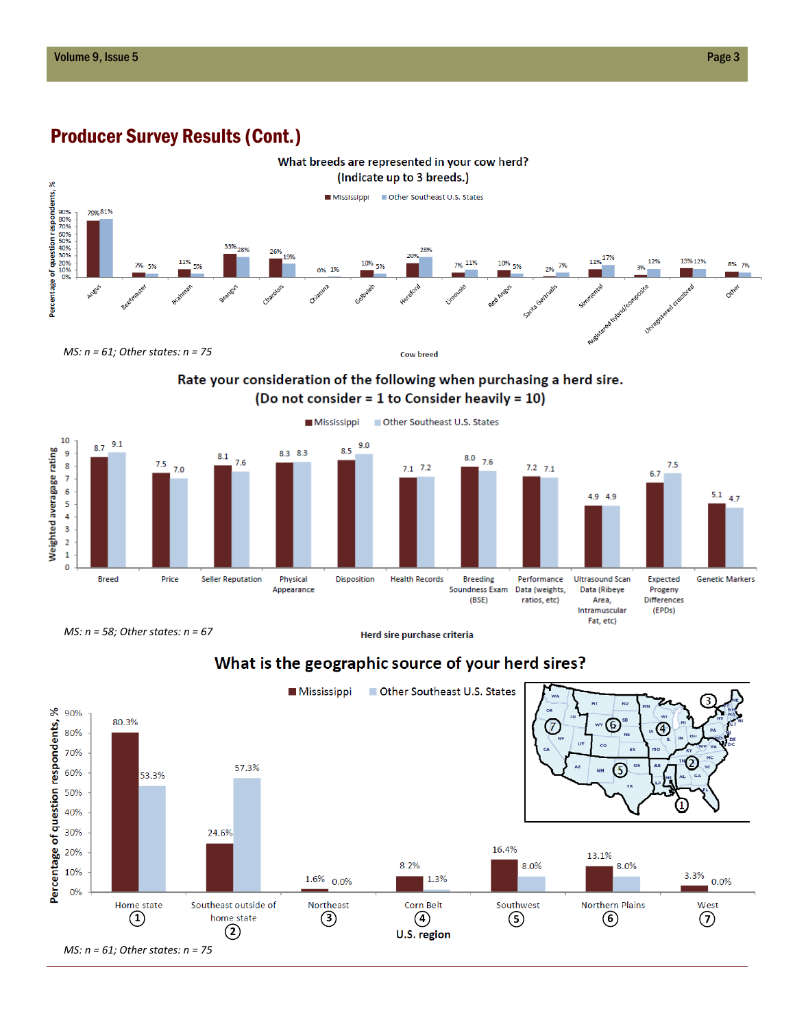

## Producer Survey Results (Cont.)

Rate your consideration of the following when purchasing a herd sire. (Do not consider = 1 to Consider heavily = 10)



*MS: n = 58; Other states: n = 67*

Herd sire purchase criteria



## What is the geographic source of your herd sires?